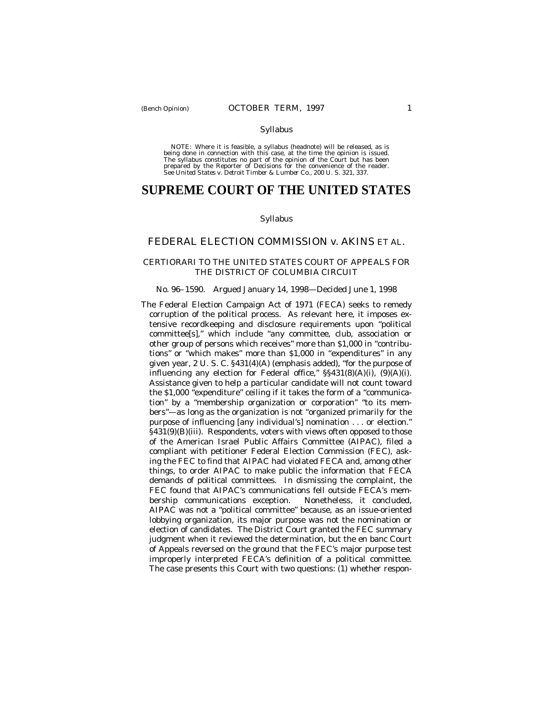#### Syllabus

NOTE: Where it is feasible, a syllabus (headnote) will be released, as is being done in connection with this case, at the time the opinion is issued. The syllabus constitutes no part of the opinion of the Court but has been<br>prepared by the Reporter of Decisions for the convenience of the reader.<br>See United States v. Detroit Timber & Lumber Co., 200 U. S. 321, 337.

# **SUPREME COURT OF THE UNITED STATES**

### Syllabus

## FEDERAL ELECTION COMMISSION *v.* AKINS ET AL.

## CERTIORARI TO THE UNITED STATES COURT OF APPEALS FOR THE DISTRICT OF COLUMBIA CIRCUIT

#### No. 96–1590. Argued January 14, 1998— Decided June 1, 1998

The Federal Election Campaign Act of 1971 (FECA) seeks to remedy corruption of the political process. As relevant here, it imposes extensive recordkeeping and disclosure requirements upon "political committee[s]," which include "*any* committee, club, association or other group of persons which receives" more than \$1,000 in "contributions" or "which makes" more than \$1,000 in "expenditures" in any given year, 2 U. S. C. §431(4)(A) (emphasis added), "for the purpose of influencing any election for Federal office," §§431(8)(A)(i), (9)(A)(i). Assistance given to help a particular candidate will not count toward the \$1,000 "expenditure" ceiling if it takes the form of a "communication" by a "membership organization or corporation" "to its members"— as long as the organization is not "organized primarily for the purpose of influencing [any individual's] nomination . . . or election." §431(9)(B)(iii). Respondents, voters with views often opposed to those of the American Israel Public Affairs Committee (AIPAC), filed a compliant with petitioner Federal Election Commission (FEC), asking the FEC to find that AIPAC had violated FECA and, among other things, to order AIPAC to make public the information that FECA demands of political committees. In dismissing the complaint, the FEC found that AIPAC's communications fell outside FECA's membership communications exception. Nonetheless, it concluded, AIPAC was not a "political committee" because, as an issue-oriented lobbying organization, its major purpose was not the nomination or election of candidates. The District Court granted the FEC summary judgment when it reviewed the determination, but the en banc Court of Appeals reversed on the ground that the FEC's major purpose test improperly interpreted FECA's definition of a political committee. The case presents this Court with two questions: (1) whether respon-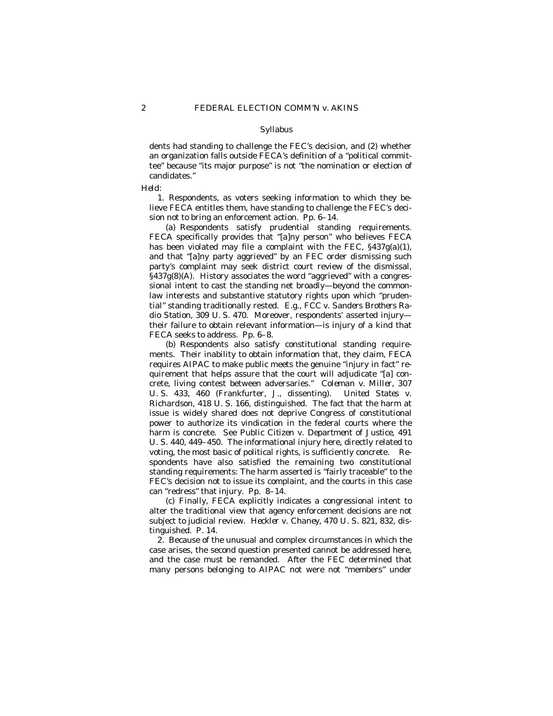#### Syllabus

dents had standing to challenge the FEC's decision, and (2) whether an organization falls outside FECA's definition of a "political committee" because "its major purpose" is not "the nomination or election of candidates."

#### *Held:*

1. Respondents, as voters seeking information to which they believe FECA entitles them, have standing to challenge the FEC's decision not to bring an enforcement action. Pp. 6–14.

(a) Respondents satisfy prudential standing requirements. FECA specifically provides that "[a]ny person" who believes FECA has been violated may file a complaint with the FEC, §437g(a)(1), and that "[a]ny party aggrieved" by an FEC order dismissing such party's complaint may seek district court review of the dismissal,  $\S437g(8)$ (A). History associates the word "aggrieved" with a congressional intent to cast the standing net broadly— beyond the commonlaw interests and substantive statutory rights upon which "prudential" standing traditionally rested. *E.g., FCC* v. *Sanders Brothers Radio Station,* 309 U. S. 470. Moreover, respondents' asserted injury their failure to obtain relevant information— is injury of a kind that FECA seeks to address. Pp. 6–8.

(b) Respondents also satisfy constitutional standing requirements. Their inability to obtain information that, they claim, FECA requires AIPAC to make public meets the genuine "injury in fact" requirement that helps assure that the court will adjudicate "[a] concrete, living contest between adversaries." *Coleman* v. *Miller,* 307 U. S. 433, 460 (Frankfurter, J., dissenting). *United States* v. *Richardson,* 418 U. S. 166, distinguished. The fact that the harm at issue is widely shared does not deprive Congress of constitutional power to authorize its vindication in the federal courts where the harm is concrete. See *Public Citizen* v. *Department of Justice,* 491 U. S. 440, 449–450. The informational injury here, directly related to voting, the most basic of political rights, is sufficiently concrete. Respondents have also satisfied the remaining two constitutional standing requirements: The harm asserted is "fairly traceable" to the FEC's decision not to issue its complaint, and the courts in this case can "redress" that injury. Pp. 8–14.

(c) Finally, FECA explicitly indicates a congressional intent to alter the traditional view that agency enforcement decisions are not subject to judicial review. *Heckler* v. *Chaney,* 470 U. S. 821, 832, distinguished. P. 14.

2. Because of the unusual and complex circumstances in which the case arises, the second question presented cannot be addressed here, and the case must be remanded. After the FEC determined that many persons belonging to AIPAC not were not "members" under